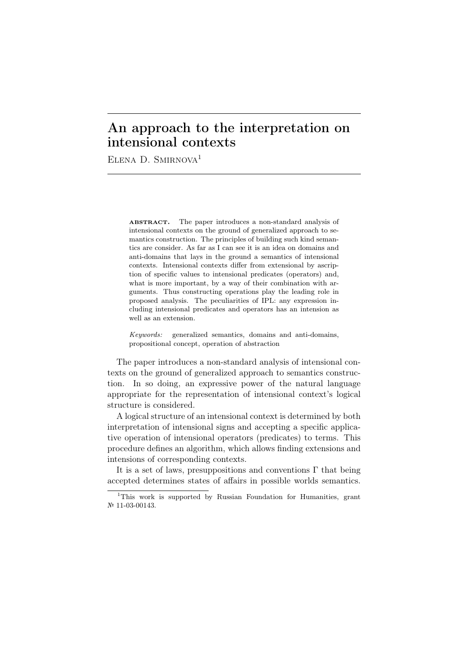## An approach to the interpretation on intensional contexts

ELENA D. SMIRNOVA<sup>1</sup>

ABSTRACT. The paper introduces a non-standard analysis of intensional contexts on the ground of generalized approach to semantics construction. The principles of building such kind semantics are consider. As far as I can see it is an idea on domains and anti-domains that lays in the ground a semantics of intensional contexts. Intensional contexts differ from extensional by ascription of specific values to intensional predicates (operators) and, what is more important, by a way of their combination with arguments. Thus constructing operations play the leading role in proposed analysis. The peculiarities of IPL: any expression including intensional predicates and operators has an intension as well as an extension.

*Keywords:* generalized semantics, domains and anti-domains, propositional concept, operation of abstraction

The paper introduces a non-standard analysis of intensional contexts on the ground of generalized approach to semantics construction. In so doing, an expressive power of the natural language appropriate for the representation of intensional context's logical structure is considered.

A logical structure of an intensional context is determined by both interpretation of intensional signs and accepting a specific applicative operation of intensional operators (predicates) to terms. This procedure defines an algorithm, which allows finding extensions and intensions of corresponding contexts.

It is a set of laws, presuppositions and conventions  $\Gamma$  that being accepted determines states of affairs in possible worlds semantics.

<sup>1</sup>This work is supported by Russian Foundation for Humanities, grant № 11-03-00143.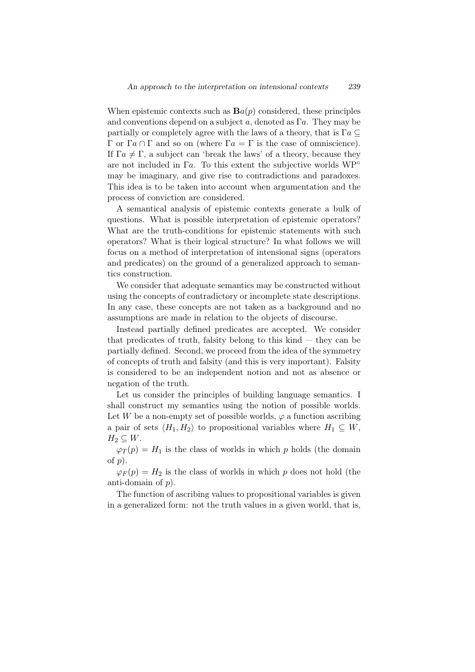When epistemic contexts such as  $\mathbf{B}a(p)$  considered, these principles and conventions depend on a subject *a*, denoted as Γ*a*. They may be partially or completely agree with the laws of a theory, that is  $\Gamma a \subseteq$ Γ or Γ*a* ∩ Γ and so on (where Γ*a* = Γ is the case of omniscience). If  $\Gamma a \neq \Gamma$ , a subject can 'break the laws' of a theory, because they are not included in Γ*a*. To this extent the subjective worlds WР*◦* may be imaginary, and give rise to contradictions and paradoxes. This idea is to be taken into account when argumentation and the process of conviction are considered.

A semantical analysis of epistemic contexts generate a bulk of questions. What is possible interpretation of epistemic operators? What are the truth-conditions for epistemic statements with such operators? What is their logical structure? In what follows we will focus on a method of interpretation of intensional signs (operators and predicates) on the ground of a generalized approach to semantics construction.

We consider that adequate semantics may be constructed without using the concepts of contradictory or incomplete state descriptions. In any case, these concepts are not taken as a background and no assumptions are made in relation to the objects of discourse.

Instead partially defined predicates are accepted. We consider that predicates of truth, falsity belong to this  $\text{kind}$  — they can be partially defined. Second, we proceed from the idea of the symmetry of concepts of truth and falsity (and this is very important). Falsity is considered to be an independent notion and not as absence or negation of the truth.

Let us consider the principles of building language semantics. I shall construct my semantics using the notion of possible worlds. Let *W* be a non-empty set of possible worlds,  $\varphi$  a function ascribing a pair of sets  $\langle H_1, H_2 \rangle$  to propositional variables where  $H_1 \subseteq W$ ,  $H_2 \subseteq W$ .

 $\varphi_T(p) = H_1$  is the class of worlds in which *p* holds (the domain of *p*).

 $\varphi_F(p) = H_2$  is the class of worlds in which *p* does not hold (the anti-domain of *p*).

The function of ascribing values to propositional variables is given in a generalized form: not the truth values in a given world, that is,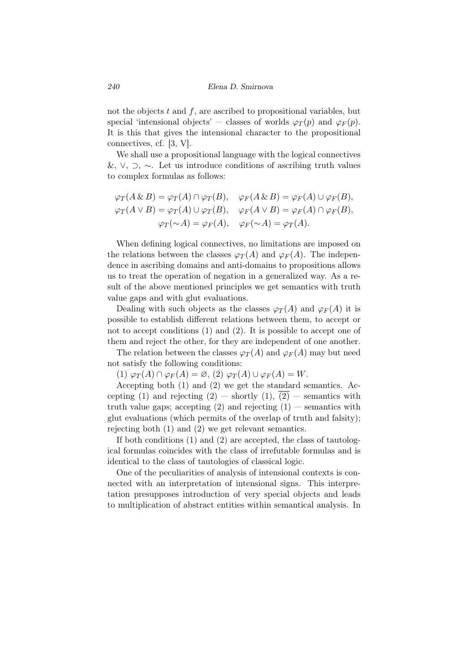not the objects *t* and *f*, are ascribed to propositional variables, but special 'intensional objects' — classes of worlds  $\varphi_T(p)$  and  $\varphi_F(p)$ . It is this that gives the intensional character to the propositional connectives, cf. [3, V].

We shall use a propositional language with the logical connectives &, *∨*, *⊃*, *∼*. Let us introduce conditions of ascribing truth values to complex formulas as follows:

$$
\varphi_T(A \& B) = \varphi_T(A) \cap \varphi_T(B), \quad \varphi_F(A \& B) = \varphi_F(A) \cup \varphi_F(B),
$$
  

$$
\varphi_T(A \lor B) = \varphi_T(A) \cup \varphi_T(B), \quad \varphi_F(A \lor B) = \varphi_F(A) \cap \varphi_F(B),
$$
  

$$
\varphi_T(\sim A) = \varphi_F(A), \quad \varphi_F(\sim A) = \varphi_T(A).
$$

When defining logical connectives, no limitations are imposed on the relations between the classes  $\varphi_T(A)$  and  $\varphi_F(A)$ . The independence in ascribing domains and anti-domains to propositions allows us to treat the operation of negation in a generalized way. As a result of the above mentioned principles we get semantics with truth value gaps and with glut evaluations.

Dealing with such objects as the classes  $\varphi_T(A)$  and  $\varphi_F(A)$  it is possible to establish different relations between them, to accept or not to accept conditions (1) and (2). It is possible to accept one of them and reject the other, for they are independent of one another.

The relation between the classes  $\varphi_T(A)$  and  $\varphi_F(A)$  may but need not satisfy the following conditions:

 $(1) \varphi_T(A) \cap \varphi_F(A) = \varnothing$ ,  $(2) \varphi_T(A) \cup \varphi_F(A) = W$ .

Accepting both (1) and (2) we get the standard semantics. Accepting (1) and rejecting  $(2)$  — shortly  $(1)$ ,  $(2)$  — semantics with truth value gaps; accepting (2) and rejecting  $(1)$  — semantics with glut evaluations (which permits of the overlap of truth and falsity); rejecting both (1) and (2) we get relevant semantics.

If both conditions (1) and (2) are accepted, the class of tautological formulas coincides with the class of irrefutable formulas and is identical to the class of tautologies of classical logic.

One of the peculiarities of analysis of intensional contexts is connected with an interpretation of intensional signs. This interpretation presupposes introduction of very special objects and leads to multiplication of abstract entities within semantical analysis. In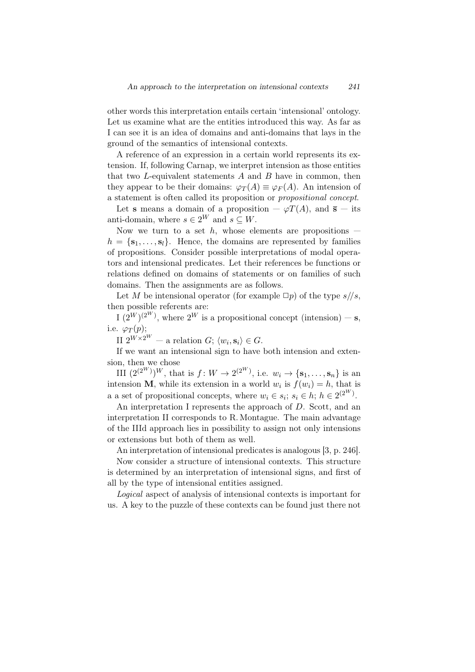other words this interpretation entails certain 'intensional' ontology. Let us examine what are the entities introduced this way. As far as I can see it is an idea of domains and anti-domains that lays in the ground of the semantics of intensional contexts.

A reference of an expression in a certain world represents its extension. If, following Carnap, we interpret intension as those entities that two *L*-equivalent statements *A* and *B* have in common, then they appear to be their domains:  $\varphi_T(A) \equiv \varphi_F(A)$ . An intension of a statement is often called its proposition or *propositional concept*.

Let **s** means a domain of a proposition  $-\varphi T(A)$ , and **s** – its anti-domain, where  $s \in 2^W$  and  $s \subseteq W$ .

Now we turn to a set  $h$ , whose elements are propositions  $$  $h = \{s_1, \ldots, s_l\}$ . Hence, the domains are represented by families of propositions. Consider possible interpretations of modal operators and intensional predicates. Let their references be functions or relations defined on domains of statements or on families of such domains. Then the assignments are as follows.

Let *M* be intensional operator (for example  $\Box p$ ) of the type  $s/\sqrt{s}$ , then possible referents are:

 $I(2^W)^{(2^W)}$ , where  $2^W$  is a propositional concept (intension) – **s**, i.e.  $\varphi_T(p)$ ;

II  $2^{W \times 2^W}$  — a relation *G*;  $\langle w_i, \mathbf{s}_i \rangle \in G$ .

If we want an intensional sign to have both intension and extension, then we chose

III  $(2^{(2^W)})^W$ , that is  $f: W \to 2^{(2^W)}$ , i.e.  $w_i \to {\mathbf{s}_1, \dots, \mathbf{s}_n}$  is an intension **M**, while its extension in a world  $w_i$  is  $f(w_i) = h$ , that is a a set of propositional concepts, where  $w_i \in s_i$ ;  $s_i \in h$ ;  $h \in 2^{(2^W)}$ .

An interpretation I represents the approach of *D*. Scott, and an interpretation II corresponds to R. Montague. The main advantage of the IIId approach lies in possibility to assign not only intensions or extensions but both of them as well.

An interpretation of intensional predicates is analogous [3, p. 246].

Now consider a structure of intensional contexts. This structure is determined by an interpretation of intensional signs, and first of all by the type of intensional entities assigned.

*Logical* aspect of analysis of intensional contexts is important for us. A key to the puzzle of these contexts can be found just there not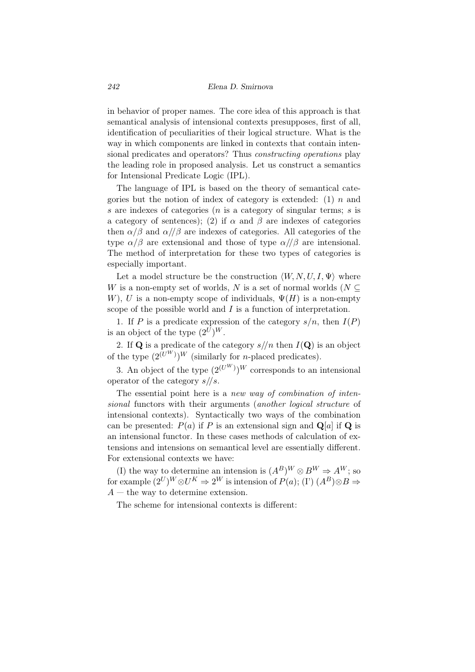in behavior of proper names. The core idea of this approach is that semantical analysis of intensional contexts presupposes, first of all, identification of peculiarities of their logical structure. What is the way in which components are linked in contexts that contain intensional predicates and operators? Thus *constructing operations* play the leading role in proposed analysis. Let us construct a semantics for Intensional Predicate Logic (IPL).

The language of IPL is based on the theory of semantical categories but the notion of index of category is extended: (1) *n* and *s* are indexes of categories (*n* is a category of singular terms; *s* is a category of sentences); (2) if  $\alpha$  and  $\beta$  are indexes of categories then  $\alpha/\beta$  and  $\alpha/\beta$  are indexes of categories. All categories of the type  $\alpha/\beta$  are extensional and those of type  $\alpha/\beta$  are intensional. The method of interpretation for these two types of categories is especially important.

Let a model structure be the construction  $\langle W, N, U, I, \Psi \rangle$  where *W* is a non-empty set of worlds, *N* is a set of normal worlds ( $N \subseteq$ *W*), *U* is a non-empty scope of individuals,  $\Psi(H)$  is a non-empty scope of the possible world and *I* is a function of interpretation.

1. If *P* is a predicate expression of the category  $s/n$ , then  $I(P)$ is an object of the type  $(2^U)^W$ .

2. If **Q** is a predicate of the category  $s/|n|$  then  $I(\mathbf{Q})$  is an object of the type  $(2^{(U^W)})^W$  (similarly for *n*-placed predicates).

3. An object of the type  $(2^{(U^W)})^W$  corresponds to an intensional operator of the category *s//s*.

The essential point here is a *new way of combination of intensional* functors with their arguments (*another logical structure* of intensional contexts). Syntactically two ways of the combination can be presented:  $P(a)$  if P is an extensional sign and  $Q[a]$  if Q is an intensional functor. In these cases methods of calculation of extensions and intensions on semantical level are essentially different. For extensional contexts we have:

(I) the way to determine an intension is  $(A^B)^W \otimes B^W \Rightarrow A^W$ ; so for example  $(2^U)^W \otimes U^K \Rightarrow 2^W$  is intension of  $P(a)$ ; (I')  $(A^B) \otimes B \Rightarrow$ *A* — the way to determine extension.

The scheme for intensional contexts is different: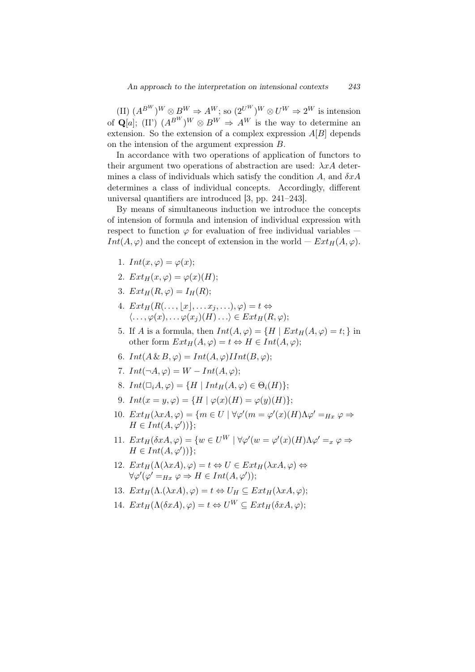$(H)$   $(A^{B^W})^W \otimes B^W \Rightarrow A^W$ ; so  $(2^{U^W})^W \otimes U^W \Rightarrow 2^W$  is intension of  $\mathbf{Q}[a]$ ; (II')  $(A^{B^W})^W \otimes B^W \Rightarrow A^W$  is the way to determine an extension. So the extension of a complex expression *A*[*B*] depends on the intension of the argument expression *B*.

In accordance with two operations of application of functors to their argument two operations of abstraction are used: *λxA* determines a class of individuals which satisfy the condition *A*, and *δxA* determines a class of individual concepts. Accordingly, different universal quantifiers are introduced [3, pp. 241–243].

By means of simultaneous induction we introduce the concepts of intension of formula and intension of individual expression with respect to function  $\varphi$  for evaluation of free individual variables – *Int*(*A,*  $\varphi$ ) and the concept of extension in the world –  $Ext_H(A, \varphi)$ .

- 1.  $Int(x, \varphi) = \varphi(x)$ ;
- 2.  $Ext_H(x, \varphi) = \varphi(x)(H)$ ;
- 3.  $Ext_H(R,\varphi) = I_H(R);$
- 4.  $Ext_H(R(\ldots, |x|, \ldots, x_i, \ldots), \varphi) = t \Leftrightarrow$  $\langle \ldots, \varphi(x), \ldots, \varphi(x_i)(H) \ldots \rangle \in Ext_H(R, \varphi);$
- 5. If *A* is a formula, then  $Int(A, \varphi) = \{H \mid Ext_H(A, \varphi) = t\}$  in other form  $Ext_H(A, \varphi) = t \Leftrightarrow H \in Int(A, \varphi);$
- 6.  $Int(A \& B, \varphi) = Int(A, \varphi) \text{I} Int(B, \varphi);$
- 7.  $Int(\neg A, \varphi) = W Int(A, \varphi);$
- 8.  $Int(\Box_i A, \varphi) = \{H \mid Int_H(A, \varphi) \in \Theta_i(H)\};$
- 9.  $Int(x = y, \varphi) = \{H \mid \varphi(x)(H) = \varphi(y)(H)\};$
- 10.  $Ext_H(\lambda xA, \varphi) = \{m \in U \mid \forall \varphi'(m = \varphi'(x)(H)\Lambda \varphi' = Hx \varphi \Rightarrow$  $H \in Int(A, \varphi')$ <sup>}</sup>;
- 11.  $Ext_H(\delta xA, \varphi) = \{w \in U^W \mid \forall \varphi'(w = \varphi'(x)(H)\Lambda \varphi' = x \varphi \Rightarrow$  $H \in Int(A, \varphi')$ <sup>}</sup>;
- 12.  $Ext_H(\Lambda(\lambda xA), \varphi) = t \Leftrightarrow U \in Ext_H(\lambda xA, \varphi) \Leftrightarrow$  $\forall \varphi'(\varphi' = H_x \varphi \Rightarrow H \in Int(A, \varphi'));$
- 13.  $Ext_H(\Lambda.(\lambda xA), \varphi) = t \Leftrightarrow U_H \subseteq Ext_H(\lambda xA, \varphi);$
- 14.  $Ext_H(\Lambda(\delta xA), \varphi) = t \Leftrightarrow U^W \subset Ext_H(\delta xA, \varphi);$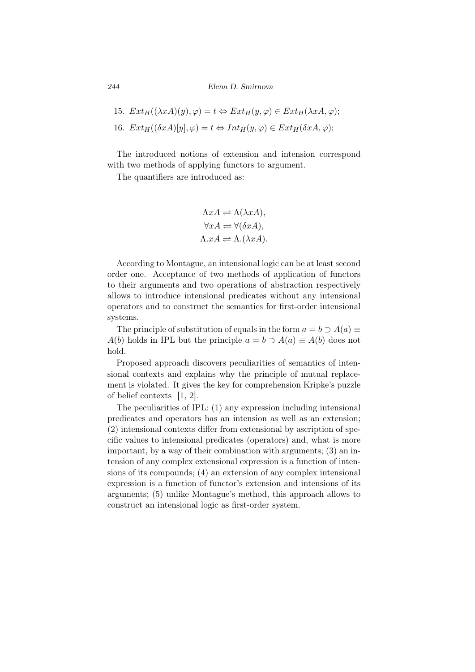*244 Elena D. Smirnova*

\n- 15. 
$$
Ext_H((\lambda xA)(y), \varphi) = t \Leftrightarrow Ext_H(y, \varphi) \in Ext_H(\lambda xA, \varphi);
$$
\n- 16.  $Ext_H((\delta xA)[y], \varphi) = t \Leftrightarrow Int_H(y, \varphi) \in Ext_H(\delta xA, \varphi);$
\n

The introduced notions of extension and intension correspond with two methods of applying functors to argument.

The quantifiers are introduced as:

$$
\Lambda xA \rightleftharpoons \Lambda(\lambda xA),
$$
  
\n
$$
\forall xA \rightleftharpoons \forall(\delta xA),
$$
  
\n
$$
\Lambda.xA \rightleftharpoons \Lambda.(\lambda xA).
$$

According to Montague, an intensional logic can be at least second order one. Acceptance of two methods of application of functors to their arguments and two operations of abstraction respectively allows to introduce intensional predicates without any intensional operators and to construct the semantics for first-order intensional systems.

The principle of substitution of equals in the form  $a = b \supset A(a) \equiv$ *A*(*b*) holds in IPL but the principle  $a = b \supset A(a) \equiv A(b)$  does not hold.

Proposed approach discovers peculiarities of semantics of intensional contexts and explains why the principle of mutual replacement is violated. It gives the key for comprehension Kripke's puzzle of belief contexts [1, 2].

The peculiarities of IPL: (1) any expression including intensional predicates and operators has an intension as well as an extension; (2) intensional contexts differ from extensional by ascription of specific values to intensional predicates (operators) and, what is more important, by a way of their combination with arguments; (3) an intension of any complex extensional expression is a function of intensions of its compounds; (4) an extension of any complex intensional expression is a function of functor's extension and intensions of its arguments; (5) unlike Montague's method, this approach allows to construct an intensional logic as first-order system.